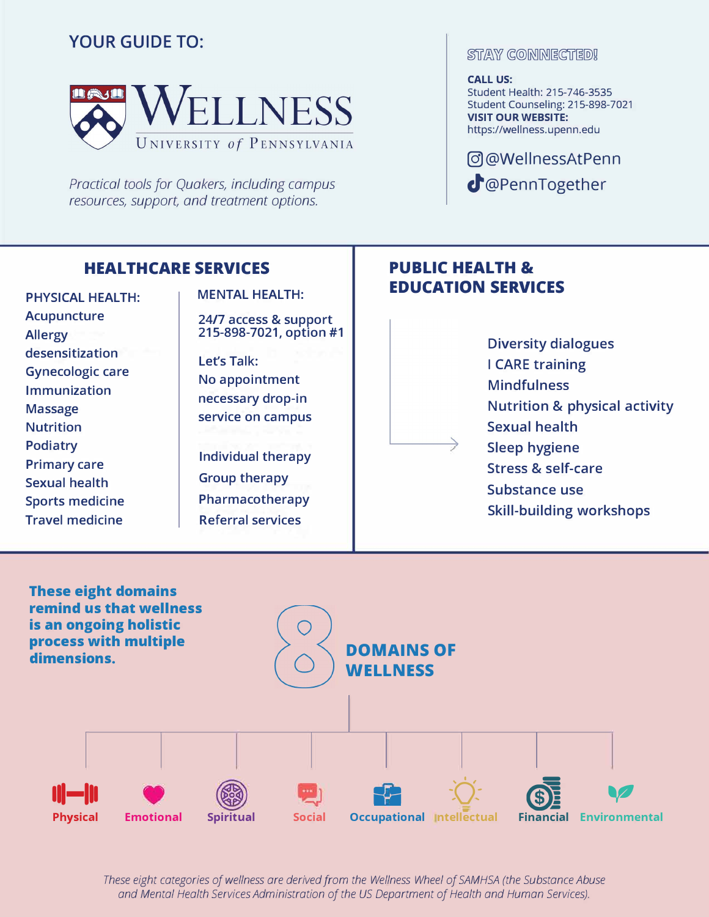# YOUR GUIDE TO:



*Practical tools for Quakers, including campus resources, support, and treatment options.* 

## **HEAL TH CARE SERVICES**

PHYSICAL HEALTH: Acupuncture Allergy desensitization Gynecologic care Immunization Massage Nutrition Podiatry Primary care Sexual health Sports medicine Travel medicine

### MENTAL HEALTH:

24/7 access & support 215-898-7021, option #1

Let's Talk: No appointment necessary drop-in service on campus

Individual therapy Group therapy Pharmacotherapy Referral services

### **STAY CONNIECTED!**

#### **CALL US:**

Student Health: 215-746-3535 Student Counseling: 215-898-7021 **VISIT OUR WEBSITE:**  https://wellness.upenn.edu

@)@WellnessAtPenn cJ'@PennTogether

## **PUBLIC HEALTH & EDUCATION SERVICES**

**Diversity dialogues I CARE training Mindfulness Nutrition & physical activity Sexual health Sleep hygiene Stress & self-care Substance use Skill-building workshops** 



*These eight categories of wellness are derived from the Wellness Wheel of SAMHSA (the Substance Abuse and Mental Health Services Administration of the US Department of Health and Human Services).*